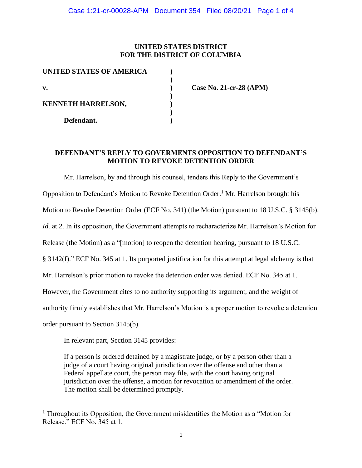## **UNITED STATES DISTRICT FOR THE DISTRICT OF COLUMBIA**

| UNITED STATES OF AMERICA  |  |
|---------------------------|--|
| v.                        |  |
| <b>KENNETH HARRELSON,</b> |  |
| Defendant.                |  |

**v. ) Case No. 21-cr-28 (APM)**

## **DEFENDANT'S REPLY TO GOVERMENTS OPPOSITION TO DEFENDANT'S MOTION TO REVOKE DETENTION ORDER**

Mr. Harrelson, by and through his counsel, tenders this Reply to the Government's Opposition to Defendant's Motion to Revoke Detention Order. <sup>1</sup> Mr. Harrelson brought his Motion to Revoke Detention Order (ECF No. 341) (the Motion) pursuant to 18 U.S.C. § 3145(b). *Id.* at 2. In its opposition, the Government attempts to recharacterize Mr. Harrelson's Motion for Release (the Motion) as a "[motion] to reopen the detention hearing, pursuant to 18 U.S.C. § 3142(f)." ECF No. 345 at 1. Its purported justification for this attempt at legal alchemy is that Mr. Harrelson's prior motion to revoke the detention order was denied. ECF No. 345 at 1. However, the Government cites to no authority supporting its argument, and the weight of authority firmly establishes that Mr. Harrelson's Motion is a proper motion to revoke a detention order pursuant to Section 3145(b).

In relevant part, Section 3145 provides:

If a person is ordered detained by a magistrate judge, or by a person other than a judge of a court having original jurisdiction over the offense and other than a Federal appellate court, the person may file, with the court having original jurisdiction over the offense, a motion for revocation or amendment of the order. The motion shall be determined promptly.

<sup>&</sup>lt;sup>1</sup> Throughout its Opposition, the Government misidentifies the Motion as a "Motion for Release." ECF No. 345 at 1.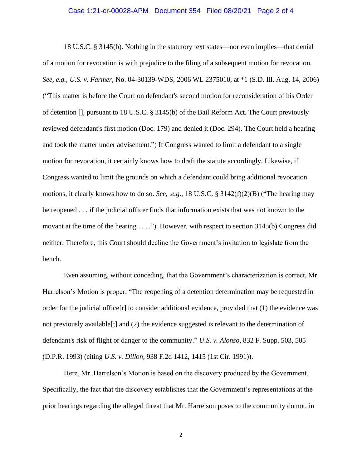#### Case 1:21-cr-00028-APM Document 354 Filed 08/20/21 Page 2 of 4

18 U.S.C. § 3145(b). Nothing in the statutory text states—nor even implies—that denial of a motion for revocation is with prejudice to the filing of a subsequent motion for revocation. *See*, *e.g.*, *U.S. v. Farmer*, No. 04-30139-WDS, 2006 WL 2375010, at \*1 (S.D. Ill. Aug. 14, 2006) ("This matter is before the Court on defendant's second motion for reconsideration of his Order of detention [], pursuant to 18 U.S.C. § 3145(b) of the Bail Reform Act. The Court previously reviewed defendant's first motion (Doc. 179) and denied it (Doc. 294). The Court held a hearing and took the matter under advisement.") If Congress wanted to limit a defendant to a single motion for revocation, it certainly knows how to draft the statute accordingly. Likewise, if Congress wanted to limit the grounds on which a defendant could bring additional revocation motions, it clearly knows how to do so. *See*, *.e.g.*, 18 U.S.C. § 3142(f)(2)(B) ("The hearing may be reopened . . . if the judicial officer finds that information exists that was not known to the movant at the time of the hearing . . . ."). However, with respect to section 3145(b) Congress did neither. Therefore, this Court should decline the Government's invitation to legislate from the bench.

Even assuming, without conceding, that the Government's characterization is correct, Mr. Harrelson's Motion is proper. "The reopening of a detention determination may be requested in order for the judicial office $[r]$  to consider additional evidence, provided that  $(1)$  the evidence was not previously available[;] and (2) the evidence suggested is relevant to the determination of defendant's risk of flight or danger to the community." *U.S. v. Alonso*, 832 F. Supp. 503, 505 (D.P.R. 1993) (citing *U.S. v. Dillon*, 938 F.2d 1412, 1415 (1st Cir. 1991)).

Here, Mr. Harrelson's Motion is based on the discovery produced by the Government. Specifically, the fact that the discovery establishes that the Government's representations at the prior hearings regarding the alleged threat that Mr. Harrelson poses to the community do not, in

2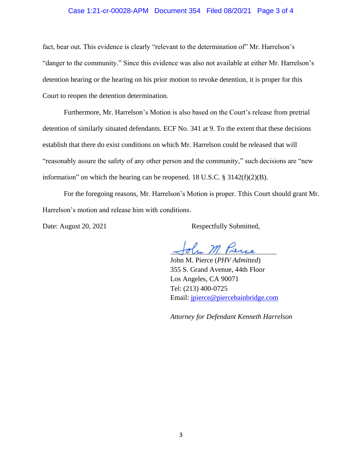### Case 1:21-cr-00028-APM Document 354 Filed 08/20/21 Page 3 of 4

fact, bear out. This evidence is clearly "relevant to the determination of" Mr. Harrelson's "danger to the community." Since this evidence was also not available at either Mr. Harrelson's detention hearing or the hearing on his prior motion to revoke detention, it is proper for this Court to reopen the detention determination.

Furthermore, Mr. Harrelson's Motion is also based on the Court's release from pretrial detention of similarly situated defendants. ECF No. 341 at 9. To the extent that these decisions establish that there do exist conditions on which Mr. Harrelson could be released that will "reasonably assure the safety of any other person and the community," such decisions are "new information" on which the hearing can be reopened. 18 U.S.C. § 3142(f)(2)(B).

For the foregoing reasons, Mr. Harrelson's Motion is proper. Tthis Court should grant Mr. Harrelson's motion and release him with conditions.

Date: August 20, 2021 Respectfully Submitted,

John M. Pierce (*PHV Admitted*) 355 S. Grand Avenue, 44th Floor Los Angeles, CA 90071 Tel: (213) 400-0725 Email: jpierce@piercebainbridge.com

*Attorney for Defendant Kenneth Harrelson*